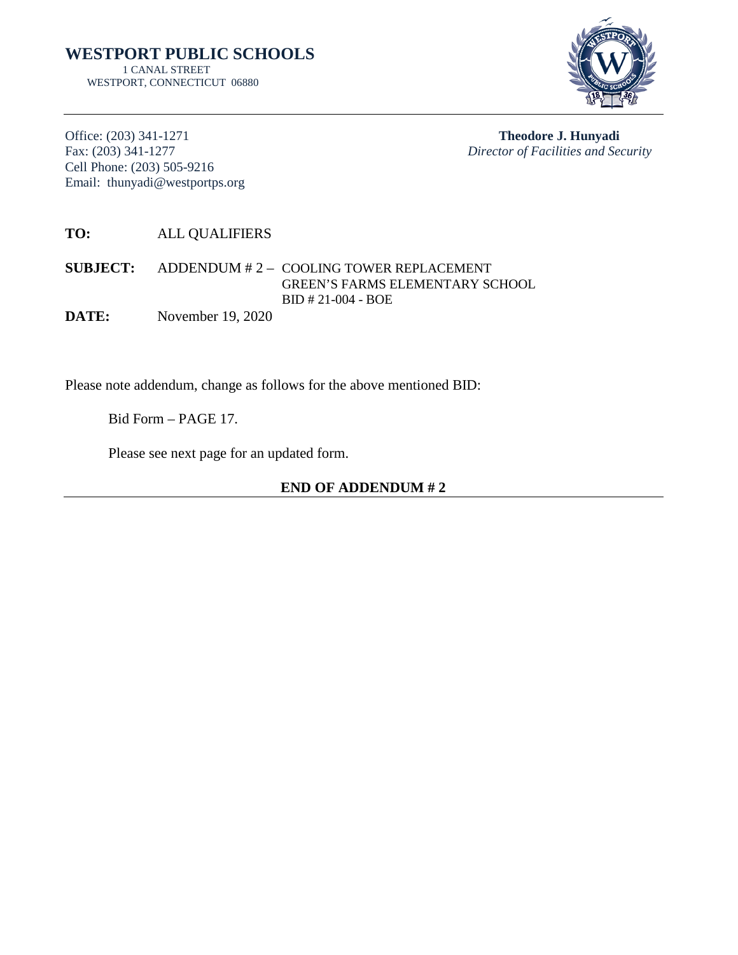

Office: (203) 341-1271 **Theodore J. Hunyadi** Cell Phone: (203) 505-9216 Email: thunyadi@westportps.org

Fax: (203) 341-1277 *Director of Facilities and Security*

**TO:** ALL QUALIFIERS

**SUBJECT:** ADDENDUM # 2 – COOLING TOWER REPLACEMENT GREEN'S FARMS ELEMENTARY SCHOOL BID # 21-004 - BOE

**DATE:** November 19, 2020

Please note addendum, change as follows for the above mentioned BID:

Bid Form – PAGE 17.

Please see next page for an updated form.

**END OF ADDENDUM # 2**